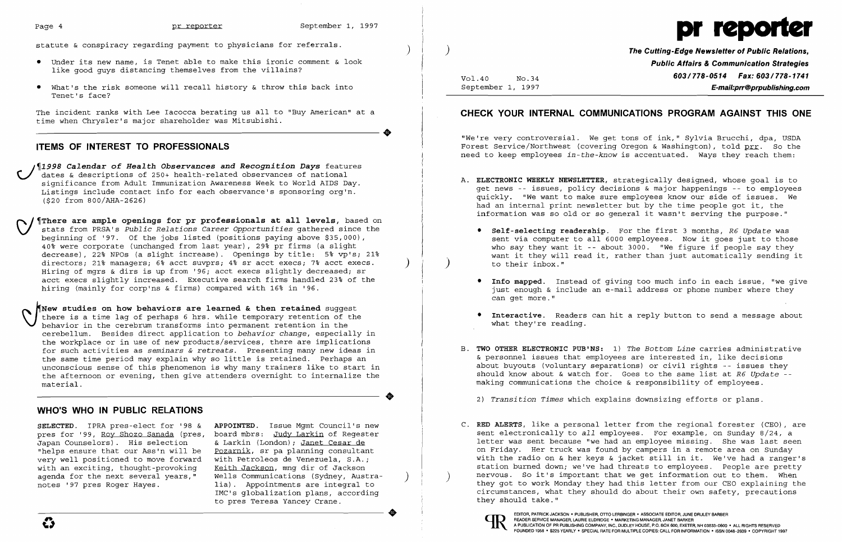

- • Under its new name, is Tenet able to make this ironic comment & look like good guys distancing themselves from the villains?
- • What's the risk someone will recall history & throw this back into Tenet's face?

The incident ranks with Lee Iacocca berating us all to "Buy American" at a time when Chrysler's major shareholder was Mitsubishi.

..

# **ITEMS OF INTEREST TO PROFESSIONALS**

\_ J~1998 *Calendar* **of** *Health Observances and Recognition Days* features dates & descriptions of 250+ health-related observances of national significance from Adult Immunization Awareness Week to World AIDS Day. Listings include contact info for each observance's sponsoring org'n. (\$20 from 800/AHA-2626)

**SELECTED.** IPRA pres-elect for '98 & **APPOINTED.** Issue Mgmt Council's new pres for '99, <u>Roy Shozo Sanada</u> (pres, board mbrs: Judy Larkin of Regester<br>Japan Counselors). His selection & Larkin (London); <u>Janet Cesar de</u> Japan Counselors). His selection & Larkin (London); <u>Janet Cesar de</u><br>"helps ensure that our Ass'n will be Pozarnik, sr pa planning consultan very well positioned to move forward with Petroleos de Venezuela, S.A.;<br>with an exciting, thought-provoking Keith Jackson, mng dir of Jackson with an exciting, thought-provoking agenda for the next several years," Wells Communications (Sydney, Austra-<br>notes '97 pres Roger Hayes. (ia). Appointments are integral to

Pozarnik, sr pa planning consultant<br>with Petroleos de Venezuela, S.A.; lia). Appointments are integral to IMC's qlobalization plans, according to pres Teresa Yancey Crane.

~J~There **are ample openings for pr professionals at all levels,** based on stats from PRSA's *Public Relations Career Opportunities* gathered since the beginning of '97. Of the jobs listed (positions paying above \$35,000), 40% were corporate (unchanged from last year), 29% pr firms (a slight decrease), 22% NPOs (a slight increase). Openings by title: 5% vp's; 21% directors; 21% managers; 6% acct suvprs; 4% sr acct execs; 7% acct execs. Hiring of mgrs & dirs is up from '96; acct execs slightly decreased; sr acct execs slightly increased. Executive search firms handled 23% of the hiring (mainly for corp'ns & firms) compared with 16% in '96.

**The Cutting-Edge Newsletter of Public Relations, Public Affairs & Communication Strategies**  Vol.40 **No.34 603/778-0514 Fax: 603/778-1741**<br>September 1, 1997 **F-mail:prr@proublishing.com** September 1, 1997 **E-mail:prr@prpublishing.com** 

\JNew **studies on how behaviors are learned & then retained** suggest there is a time lag of perhaps 6 hrs. while temporary retention of the behavior in the cerebrum transforms into permanent retention in the cerebellum. Besides direct application to *behavior change,* especially in the workplace or in use of new products/services, there are implications for such activities as *seminars* & *retreats.* Presenting many new ideas in the same time period may explain why so little is retained. Perhaps an unconscious sense of this phenomenon is why many trainers like to start in the afternoon or evening, then give attenders overnight to internalize the material.

..

statute & conspiracy regarding payment to physicians for referrals.

# **WHO'S WHO IN PUBLIC RELATIONS**

C. **RED ALERTS,** like a personal letter from the regional forester (CEO), are sent electronically to *all* employees. For example, on Sunday 8/24, a letter was sent because "we had an employee missing. She was last seen on Friday. Her truck was found by campers in a remote area on Sunday with the radio on & her keys & jacket still in it. We've had a ranger's station burned down; we've had threats to employees. People are pretty nervous. So it's important that we get information out to them. When they got to work Monday they had this letter from our CEO explaining the

# **CHECK YOUR INTERNAL COMMUNICATIONS PROGRAM AGAINST THIS ONE**

"We're very controversial. We get tons of ink," Sylvia Brucchi, dpa, USDA Forest Service/Northwest (covering Oregon & Washington), told prr. So the need to keep employees *in-the-know* is accentuated. Ways they reach them:

A. **ELECTRONIC WEEKLY NEWSLETTER,** strategically designed, whose goal is to get news -- issues, policy decisions & major happenings -- to employees quickly. "We want to make sure employees know our side of issues. We had an internal print newsletter but by the time people got it, the information was so old or so general it wasn't serving the purpose."

• **Self-selecting readership.** For the first 3 months, *R6 Update* was sent via computer to all 6000 employees. Now it goes just to those who say they want it -- about 3000. "We figure if people say they want it they will read it, rather than just automatically sending it

• **Info mapped.** Instead of giving too much info in each issue, "we give just enough & include an e-mail address or phone number where they

• **Interactive.** Readers can hit a reply button to send a message about

- - ) to their inbox."
	- can get more."
	- what they're reading.
- making communications the choice & responsibility of employees.

B. **TWO OTHER ELECTRONIC PUB'NS:** 1) *The Bottom Line* carries administrative & personnel issues that employees are interested in, like decisions about buyouts (voluntary separations) or civil rights -- issues they should know about & watch for. Goes to the same list at *R6 Update* 

*2) Transition Times* which explains downsizing efforts or plans.

circumstances, what they should do about their own safety, precautions



EDITOR, PATRICK JACKSON· PUBLISHER, OTTO LERBINGER • ASSOCIATE EDITOR, JUNE DRULEY BARBER